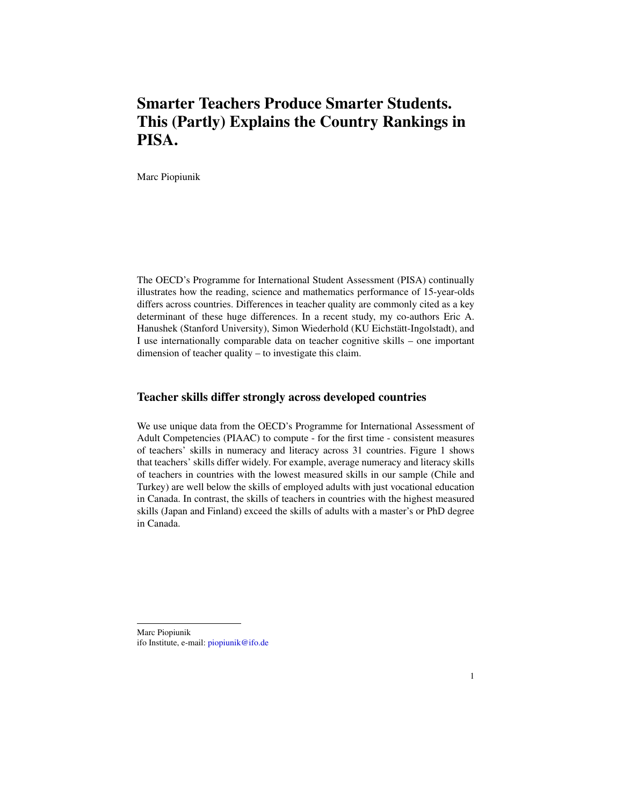# Smarter Teachers Produce Smarter Students. This (Partly) Explains the Country Rankings in PISA.

Marc Piopiunik

The OECD's Programme for International Student Assessment (PISA) continually illustrates how the reading, science and mathematics performance of 15-year-olds differs across countries. Differences in teacher quality are commonly cited as a key determinant of these huge differences. In a recent study, my co-authors Eric A. Hanushek (Stanford University), Simon Wiederhold (KU Eichstätt-Ingolstadt), and I use internationally comparable data on teacher cognitive skills – one important dimension of teacher quality – to investigate this claim.

#### Teacher skills differ strongly across developed countries

We use unique data from the OECD's Programme for International Assessment of Adult Competencies (PIAAC) to compute - for the first time - consistent measures of teachers' skills in numeracy and literacy across 31 countries. Figure 1 shows that teachers' skills differ widely. For example, average numeracy and literacy skills of teachers in countries with the lowest measured skills in our sample (Chile and Turkey) are well below the skills of employed adults with just vocational education in Canada. In contrast, the skills of teachers in countries with the highest measured skills (Japan and Finland) exceed the skills of adults with a master's or PhD degree in Canada.

Marc Piopiunik ifo Institute, e-mail: [piopiunik@ifo.de](mailto:piopiunik@ifo.de)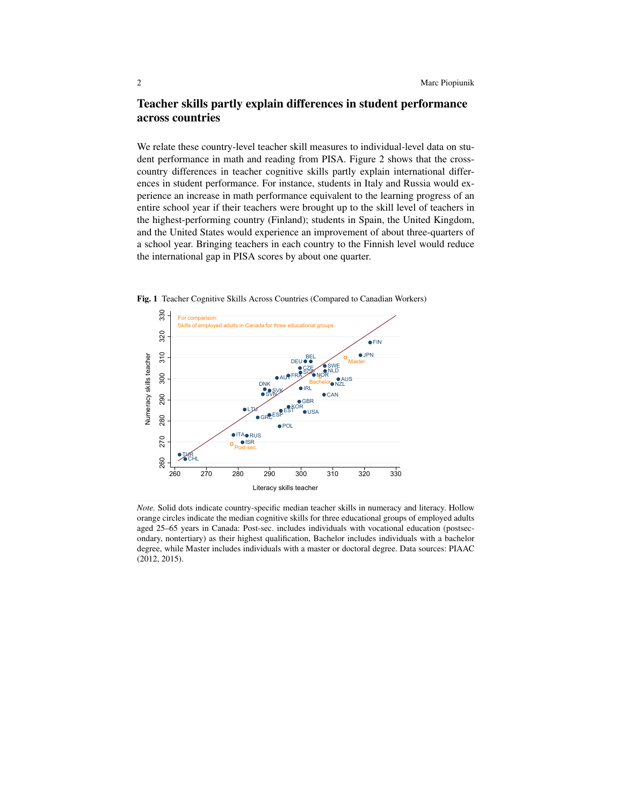# Teacher skills partly explain differences in student performance across countries

We relate these country-level teacher skill measures to individual-level data on student performance in math and reading from PISA. Figure 2 shows that the crosscountry differences in teacher cognitive skills partly explain international differences in student performance. For instance, students in Italy and Russia would experience an increase in math performance equivalent to the learning progress of an entire school year if their teachers were brought up to the skill level of teachers in the highest-performing country (Finland); students in Spain, the United Kingdom, and the United States would experience an improvement of about three-quarters of a school year. Bringing teachers in each country to the Finnish level would reduce the international gap in PISA scores by about one quarter.



Fig. 1 Teacher Cognitive Skills Across Countries (Compared to Canadian Workers)

*Note.* Solid dots indicate country-specific median teacher skills in numeracy and literacy. Hollow orange circles indicate the median cognitive skills for three educational groups of employed adults aged 25–65 years in Canada: Post-sec. includes individuals with vocational education (postsecondary, nontertiary) as their highest qualification, Bachelor includes individuals with a bachelor degree, while Master includes individuals with a master or doctoral degree. Data sources: PIAAC (2012, 2015).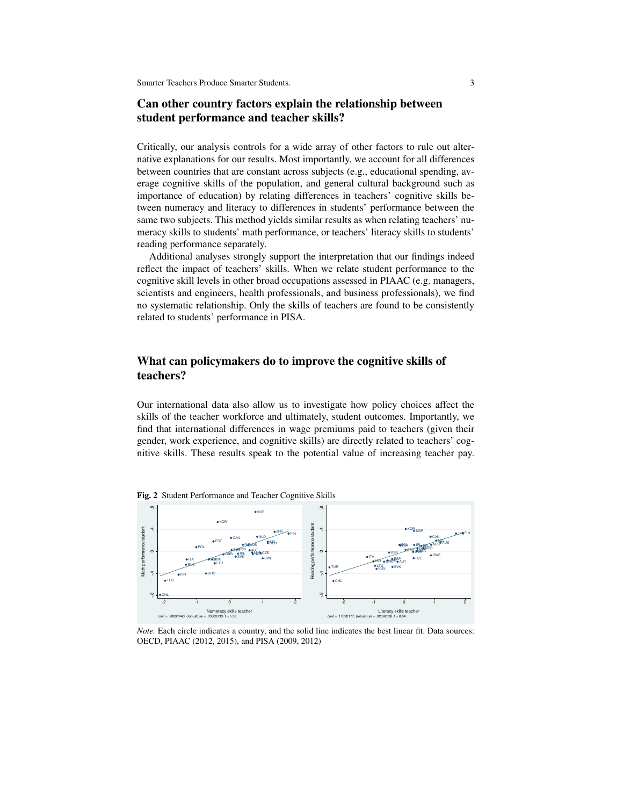Smarter Teachers Produce Smarter Students. 3

## Can other country factors explain the relationship between student performance and teacher skills?

Critically, our analysis controls for a wide array of other factors to rule out alternative explanations for our results. Most importantly, we account for all differences between countries that are constant across subjects (e.g., educational spending, average cognitive skills of the population, and general cultural background such as importance of education) by relating differences in teachers' cognitive skills between numeracy and literacy to differences in students' performance between the same two subjects. This method yields similar results as when relating teachers' numeracy skills to students' math performance, or teachers' literacy skills to students' reading performance separately.

Additional analyses strongly support the interpretation that our findings indeed reflect the impact of teachers' skills. When we relate student performance to the cognitive skill levels in other broad occupations assessed in PIAAC (e.g. managers, scientists and engineers, health professionals, and business professionals), we find no systematic relationship. Only the skills of teachers are found to be consistently related to students' performance in PISA.

## What can policymakers do to improve the cognitive skills of teachers?

Our international data also allow us to investigate how policy choices affect the skills of the teacher workforce and ultimately, student outcomes. Importantly, we find that international differences in wage premiums paid to teachers (given their gender, work experience, and cognitive skills) are directly related to teachers' cognitive skills. These results speak to the potential value of increasing teacher pay.



Fig. 2 Student Performance and Teacher Cognitive Skills

*Note.* Each circle indicates a country, and the solid line indicates the best linear fit. Data sources: OECD, PIAAC (2012, 2015), and PISA (2009, 2012)